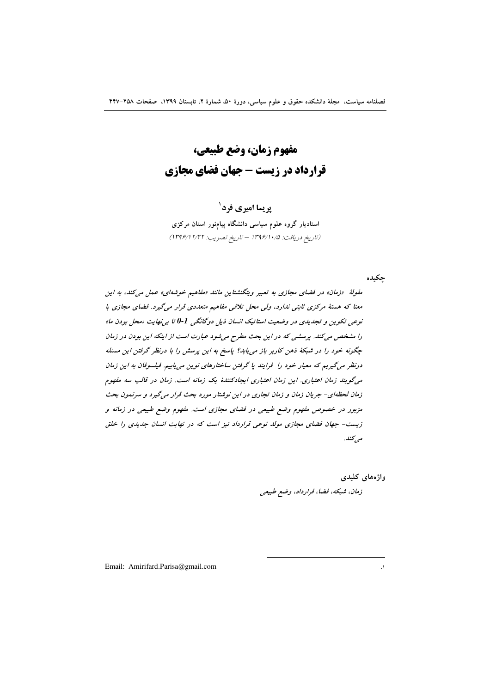**مفهوم زمان، وضع طبیعی، قرارداد در زیست - جهان فضای مجازی** 

# **پریسا امیری فرد**`

استادیار گروه علوم سیاسی دانشگاه پیامنور استان مرکزی (تاریخ دریافت: ۱۳۹۶/۱۰/۵ – تاریخ تصویب: ۱۳۹۶/۱۲/۲۲)

چکیده

مقولهٔ «زمان» در فضای مجازی به تعبیر ویتگنشتاین مانند «مفاهیم خوشه*ای» عمل میکند*، به این معنا که هستهٔ مرکزی ثابتی ن*دارد*، ولی محل تلاقی مفاهیم متعددی قرار میگیرد. فضای مجازی با نوعی تکوین و تجدیدی در وضعیت استاتیک انسان ذیل دوگانگی <sup>1</sup>-0 تا بی نهایت «محل بودن ما» را مشخص میکند. پرسشی که در این بحث مطرح میشود عبارت است از اینکه این بودن در زمان چگونه خود را در شبکهٔ ذهن کاربر باز می<sub>ش</sub>ابد؟ پاسخ به این پرسش را با درنظر گرفتن این مسئله درنظر میگیریم که معیار خود را <sup>ِ</sup> فرایند با گرفتن ساختارهای نوین می یابیم. فیلسوفان به این زمان میگویند زمان اعتباری. این زمان اعتباری ایجادکنندهٔ یک زمانه است. زمان در قالب سه مفهوم زمان لحظه ای- جریان زمان و زمان تجاری در این نوشتار مورد بحث قرار میگیرد و سرنمون بحث مزبور در خصوص مفهوم وضع طبیعی در فضای مجازی است. مفهوم وضع طبیعی در زمانه و زیست- جهان فضای مجازی مولد نوعی قرارداد نیز است که در نهایت انسان جدی*دی را خلق* مى<sup>كنلە.</sup>

> واژەھای كليد<u>ی</u> زم*ان، شبکه، فضا، قرارداد، وضع طبیعی*

 $\overline{a}$ 

Email: Amirifard.Parisa@gmail.com 1.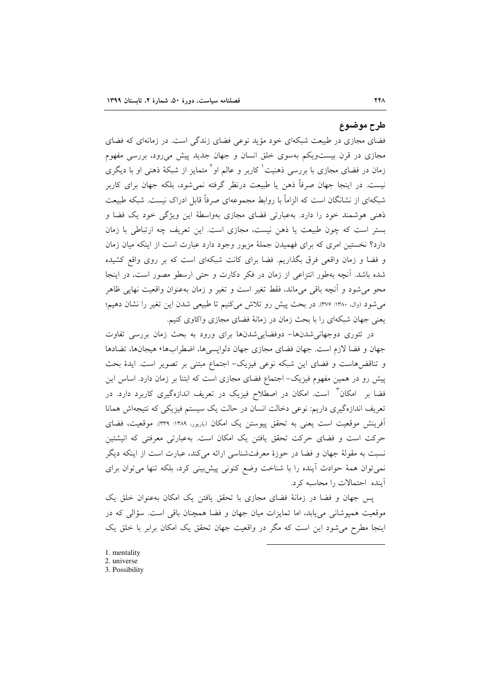### طرح موضوع

فضای مجازی در طبیعت شبکهای خود مؤید نوعی فضای زندگی است. در زمانهای که فضای مجازی در قرن بیستویکم بهسوی خلق انسان و جهان جدید پیش میرود، بررسی مفهوم زمان در فضای مجازی با بررسی ذهنیت<sup>\</sup> کاربر و عالم او<sup>۲</sup> متمایز از شبکهٔ ذهن<sub>ی</sub> او با دیگری نیست. در اینجا جهان صرفاً ذهن یا طبیعت درنظر گرفته نمی شود، بلکه جهان برای کاربر شبکهای از نشانگان است که الزاماً با روابط مجموعهای صرفاً قابل ادراک نیست. شبکه طبیعت ذهنی هوشمند خود را دارد. بهعبارتی فضای مجازی بهواسطهٔ این ویژگی خود یک فضا و بستر است که چون طبیعت یا ذهن نیست، مجازی است. این تعریف چه ارتباطی با زمان دارد؟ نخستین امری که برای فهمیدن جملهٔ مزبور وجود دارد عبارت است از اینکه میان زمان و فضا و زمان واقعی فرق بگذاریم. فضا برای کانت شبکهای است که بر روی واقع کشیده شده باشد. آنچه بهطور انتزاعی از زمان در فکر دکارت و حتی ارسطو مصور است، در اینجا محو می شود و اّنچه باقی میماند، فقط تغیر است و تغیر و زمان بهعنوان واقعیت نهایی ظاهر می شود (وال، ۱۳۸۰: ۳۷۶). در بحث پیش رو تلاش می کنیم تا طبیعی شدن این تغیر را نشان دهیم؛ یعنی جهان شبکهای را با بحث زمان در زمانهٔ فضای مجازی واکاوی کنیم.

در تئوری دوجهانی شدنها- دوفضایی شدنها برای ورود به بحث زمان بررسی تفاوت جهان و فضا لازم است. جهان فضاي مجازي جهان دلوايسي ها، اضطرابها، هيجانها، تضادها و تناقضهاست و فضاى اين شبكه نوعى فيزيك- اجتماع مبتنى بر تصوير است. ايدهٔ بحث پیش رو در همین مفهوم فیزیک– اجتماع فضای مجازی است که ابتنا بر زمان دارد. اساس این فضا بر امکان ٔ است. امکان در اصطلاح فیزیک در تعریف اندازهگیری کاربرد دارد. در تعریف اندازهگیری داریم: نوعی دخالت انسان در حالت یک سیستم فیزیکی که نتیجهاش همانا آفرینش موقعیت است یعنی به تحقق پیوستن یک امکان (باربور، ۱۳۸۹: ۳۳۹). موقعیت، فضای حرکت است و فضای حرکت تحقق یافتن یک امکان است. بهعبارتی معرفتی که انیشتین نسبت به مقولهٔ جهان و فضا در حوزهٔ معرفتشناسی ارائه میکند، عبارت است از اینکه دیگر نمی توان همهٔ حوادث آینده را با شناخت وضع کنونی پیش بینی کرد، بلکه تنها می توان برای آینده احتمالات را محاسبه کرد.

پس جهان و فضا در زمانهٔ فضای مجازی با تحقق یافتن یک امکان بهعنوان خلق یک موقعیت همیوشانی می یابد، اما تمایزات میان جهان و فضا همچنان باقی است. سؤالی که در اینجا مطرح می شود این است که مگر در واقعیت جهان تحقق یک امکان برابر با خلق یک

- 1. mentality
- 2. universe
- 3. Possibility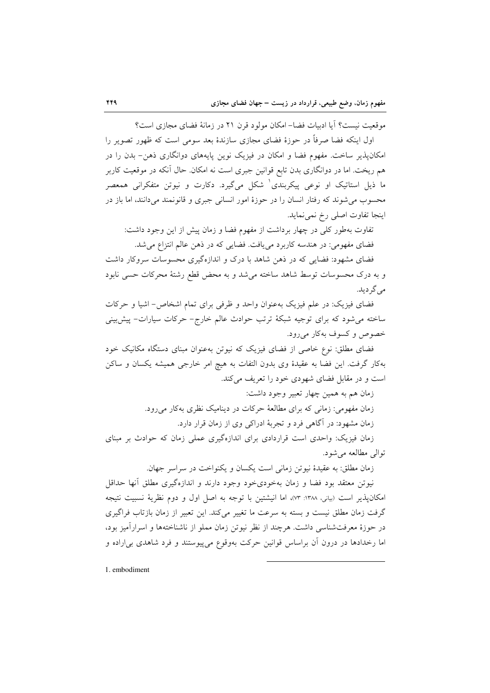موقعیت نیست؟ آیا ادبیات فضا– امکان مولود قرن ۲۱ در زمانهٔ فضای مجازی است؟

اول اینکه فضا صرفاً در حوزهٔ فضای مجازی سازندهٔ بعد سومی است که ظهور تصویر را امکان پذیر ساخت. مفهوم فضا و امکان در فیزیک نوین پایههای دوانگاری ذهن– بدن را در هم ریخت. اما در دوانگاری بدن تابع قوانین جبری است نه امکان. حال اَنکه در موقعیت کاربر ما ذیل استاتیک او نوعی پیکربندی<sup>۱</sup> شکل میگیرد. دکارت و نیوتن متفکرانی همعصر محسوب می شوند که رفتار انسان را در حوزهٔ امور انسانی جبری و قانونمند می دانند، اما باز در اينجا تفاوت اصلي رخ نمي نمايد.

تفاوت بهطور كلَّى در چهار برداشت از مفهوم فضا و زمان پیش از این وجود داشت: فضای مفهومی: در هندسه کاربرد می یافت. فضایی که در ذهن عالم انتزاع می شد.

فضای مشهود: فضایی که در ذهن شاهد با درک و اندازهگیری محسوسات سروکار داشت و به درک محسوسات توسط شاهد ساخته می شد و به محض قطع رشتهٔ محرکات حسی نابود می گر دید.

فضای فیزیک: در علم فیزیک بهعنوان واحد و ظرفی برای تمام اشخاص- اشیا و حرکات ساخته می شود که برای توجیه شبکهٔ ترتب حوادث عالم خارج- حرکات سیارات- پیش بینی خصوص و کسوف بهکار می رود.

فضای مطلق: نوع خاصی از فضای فیزیک که نیوتن بهعنوان مبنای دستگاه مکانیک خود بهكار گرفت. اين فضا به عقيدهٔ وى بدون التفات به هيچ امر خارجى هميشه يكسان و ساكن است و در مقابل فضای شهودی خود را تعریف می کند.

زمان هم به همین چهار تعبیر وجود داشت:

زمان مفهومی: زمانی که برای مطالعهٔ حرکات در دینامیک نظری بهکار می رود.

زمان مشهود: در آگاهی فرد و تجربهٔ ادراکی وی از زمان قرار دارد.

زمان فیزیک: واحدی است قراردادی برای اندازهگیری عملی زمان که حوادث بر مبنای توالي مطالعه مي شود.

زمان مطلق: به عقيدهٔ نيوتن زماني است يكسان و يكنواخت در سراسر جهان.

نيوتن معتقد بود فضا و زمان بهخودي خود وجود دارند و اندازهگيري مطلق آنها حداقل امكان يذير است (بياني، ١٣٨٨: ٧٣)، اما انيشتين با توجه به اصل اول و دوم نظرية نسبيت نتيجه گرفت زمان مطلق نیست و بسته به سرعت ما تغییر می کند. این تعبیر از زمان بازتاب فراگیری در حوزهٔ معرفتشناسی داشت. هرچند از نظر نیوتن زمان مملو از ناشناختهها و اسرارآمیز بود، اما رخدادها در درون آن براساس قوانین حرکت بهوقوع می پیوستند و فرد شاهدی بی اراده و

1. embodiment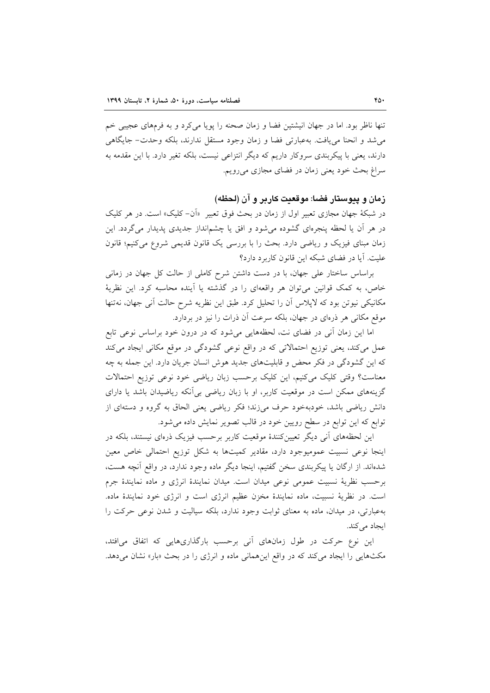تنها ناظر بود. اما در جهان انیشتین فضا و زمان صحنه را پویا میکرد و به فرمهای عجیبی خم می شد و انحنا می یافت. بهعبارتی فضا و زمان وجود مستقل ندارند، بلکه وحدت- جایگاهی دارند، یعنی با پیکربندی سروکار داریم که دیگر انتزاعی نیست، بلکه تغیر دارد. با این مقدمه به سراغ بحث خود یعنی زمان در فضای مجازی می رویم.

## زمان و پيوستار فضا: موقعيت كاربر و آن (لحظه)

در شبکهٔ جهان مجازی تعبیر اول از زمان در بحث فوق تعبیر «اَن- کلیک» است. در هر کلیک در هر آن یا لحظه پنجرهای گشوده میشود و افق یا چشمانداز جدیدی پدیدار میگردد. این زمان مبنای فیزیک و ریاضی دارد. بحث را با بررسی یک قانون قدیمی شروع می کنیم؛ قانون عليت. آيا در فضاي شبكه اين قانون كاربرد دارد؟

براساس ساختار علی جهان، با در دست داشتن شرح کاملی از حالت کل جهان در زمانی خاص، به کمک قوانین می توان هر واقعهای را در گذشته یا آینده محاسبه کرد. این نظریهٔ مکانیکی نیوتن بود که لاپلاس آن را تحلیل کرد. طبق این نظریه شرح حالت آنی جهان، نهتنها موقع مکانی هر ذرهای در جهان، بلکه سرعت اَن ذرات را نیز در بردارد.

اما این زمان آنی در فضای نت، لحظههایی میشود که در درون خود براساس نوعی تابع عمل می کند، یعنی توزیع احتمالاتی که در واقع نوعی گشودگی در موقع مکانی ایجاد می کند که این گشودگی در فکر محض و قابلیتهای جدید هوش انسان جریان دارد. این جمله به چه معناست؟ وقتی کلیک میکنیم، این کلیک برحسب زبان ریاضی خود نوعی توزیع احتمالات گزینههای ممکن است در موقعیت کاربر، او با زبان ریاضی بی آنکه ریاضیدان باشد یا دارای دانش ریاضی باشد، خودبهخود حرف میزند؛ فکر ریاضی یعنی الحاق به گروه و دستهای از توابع که این توابع در سطح رویین خود در قالب تصویر نمایش داده می شود.

این لحظههای آنی دیگر تعیینکنندهٔ موقعیت کاربر برحسب فیزیک ذرهای نیستند، بلکه در اینجا نوعی نسبیت عمومیوجود دارد، مقادیر کمیتها به شکل توزیع احتمالی خاص معین شدهاند. از ارگان یا پیکربندی سخن گفتیم، اینجا دیگر ماده وجود ندارد، در واقع آنچه هست، برحسب نظرية نسبيت عمومي نوعي ميدان است. ميدان نمايندة انرژى و ماده نمايندة جرم است. در نظریهٔ نسبیت، ماده نمایندهٔ مخزن عظیم انرژی است و انرژی خود نمایندهٔ ماده. بهعبارتی، در میدان، ماده به معنای ثوابت وجود ندارد، بلکه سیالیت و شدن نوعی حرکت را ایجاد می کند.

این نوع حرکت در طول زمانهای آنی برحسب بارگذاریهایی که اتفاق میافتد، مکثهایی را ایجاد می کند که در واقع این همانی ماده و انرژی را در بحث «بار» نشان می دهد.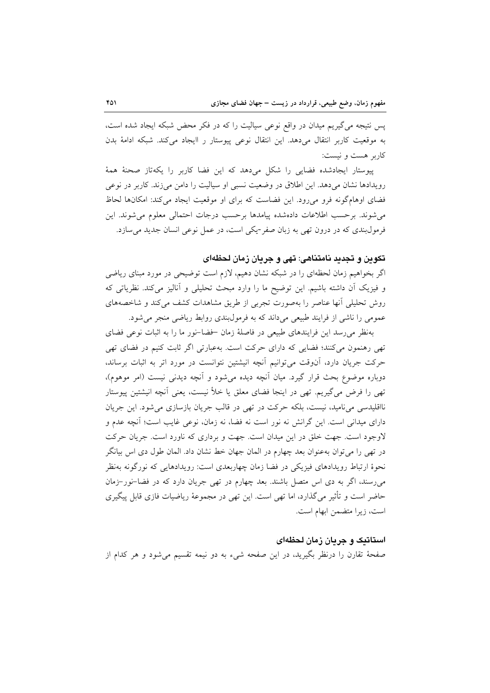پس نتیجه می گیریم میدان در واقع نوعی سیالیت را که در فکر محض شبکه ایجاد شده است، به موقعیت کاربر انتقال میدهد. این انتقال نوعی پیوستار ر اایجاد میکند. شبکه ادامهٔ بدن کاربر هست و نیست:

پیوستار ایجادشده فضایی را شکل میدهد که این فضا کاربر را یکهتاز صحنهٔ همهٔ رویدادها نشان میدهد. این اطلاق در وضعیت نسبی او سیالیت را دامن می زند. کاربر در نوعی فضای اوهامگونه فرو می رود. این فضاست که برای او موقعیت ایجاد می کند: امکانها لحاظ مى شوند. برحسب اطلاعات دادهشده پيامدها برحسب درجات احتمالي معلوم مى شوند. اين فرمولبندی که در درون تھی به زبان صفر -یکی است، در عمل نوعی انسان جدید می سازد.

## تكوين و تجديد نامتناهي: تهي و جريان زمان لحظهاي

اگر بخواهیم زمان لحظهای را در شبکه نشان دهیم، لازم است توضیحی در مورد مبنای ریاضی و فیزیک آن داشته باشیم. این توضیح ما را وارد مبحث تحلیلی و آنالیز میکند. نظریاتی که روش تحلیلی آنها عناصر را بهصورت تجربی از طریق مشاهدات کشف میکند و شاخصههای عمومی را ناشی از فرایند طبیعی میداند که به فرمول بندی روابط ریاضی منجر می شود.

بهنظر می رسد این فرایندهای طبیعی در فاصلهٔ زمان خضا-نور ما را به اثبات نوعی فضای تھی رهنمون میکنند؛ فضایی که دارای حرکت است. بهعبارتی اگر ثابت کنیم در فضای تھی حرکت جریان دارد، أنوقت میتوانیم أنچه انیشتین نتوانست در مورد اتر به اثبات برساند، دوباره موضوع بحث قرار گیرد. میان آنچه دیده می شود و آنچه دیدنی نیست (امر موهوم)، تهی را فرض میگیریم. تهی در اینجا فضای معلق یا خلأ نیست، یعنی آنچه انیشتین پیوستار نااقلیدسی می نامید، نیست، بلکه حرکت در تھی در قالب جریان بازسازی می شود. این جریان دارای میدانی است. این گرانش نه نور است نه فضا، نه زمان، نوعی غایب است؛ آنچه عدم و لاوجود است. جهت خلق در این میدان است. جهت و برداری که ناورد است. جریان حرکت در تھی را می توان بهعنوان بعد چھارم در المان جھان خط نشان داد. المان طول دی اس بیانگر نحوهٔ ارتباط رویدادهای فیزیکی در فضا زمان چهاربعدی است: رویدادهایی که نورگونه بهنظر می رسند، اگر به دی اس متصل باشند. بعد چهارم در تهی جریان دارد که در فضا–نور–زمان حاضر است و تأثیر می گذارد، اما تهی است. این تهی در مجموعهٔ ریاضیات فازی قابل پیگیری است، زیرا متضمن ابهام است.

## استاتیک و جریان زمان لحظهای

صفحهٔ تقارن را درنظر بگیرید، در این صفحه شیء به دو نیمه تقسیم میشود و هر کدام از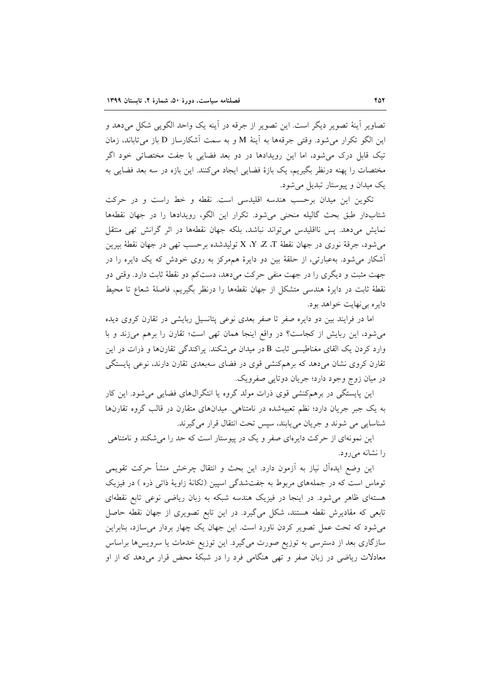تصاویر آینهٔ تصویر دیگر است. این تصویر از جرقه در آینه یک واحد الگویی شکل میدهد و اين الگو تكرار مي شود. وقتي جرقهها به آينهٔ M و به سمت آشكارساز D باز مي تاباند، زمان تیک قابل درک می شود، اما این رویدادها در دو بعد فضایی با جفت مختصاتی خود اگر مختصات را يهنه درنظر بگيريم، يک بازهٔ فضايي ايجاد ميکنند. اين بازه در سه بعد فضايي به یک میدان و پیوستار تبدیل می شود.

تکوین این میدان برحسب هندسه اقلیدسی است. نقطه و خط راست و در حرکت شتابدار طبق بحث گاليله منحنى مى شود. تكرار اين الگو، رويدادها را در جهان نقطهها نمایش میدهد. پس نااقلیدس میتواند نباشد، بلکه جهان نقطهها در اثر گرانش تهی منتقل میشود، جرقهٔ نوری در جهان نقطهٔ X ،Y ،Z ،T تولیدشده برحسب تهی در جهان نقطهٔ بپرین آشکار می شود. بهعبارتی، از حلقهٔ بین دو دایرهٔ همهرکز به روی خودش که یک دایره را در جهت مثبت و دیگری را در جهت منفی حرکت میدهد، دستکم دو نقطهٔ ثابت دارد. وقتی دو نقطهٔ ثابت در دایرهٔ هندسی متشکل از جهان نقطهها را درنظر بگیریم، فاصلهٔ شعاع تا محیط دايره بي نهايت خواهد بود.

اما در فرایند بین دو دایره صفر تا صفر بعدی نوعی پتانسیل ربایشی در تقارن کروی دیده می شود، این ربایش از کجاست؟ در واقع اینجا همان تهی است؛ تقارن را برهم میزند و با وارد کردن یک القای مغناطیسی ثابت B در میدان میشکند. پراکندگی تقارنها و ذرات در این تقارن کروی نشان میدهد که برهمکنشی قوی در فضای سهبعدی تقارن دارند، نوعی پایستگی در میان زوج وجود دارد؛ جریان دوتایی صفرویک.

این پایستگی در برهمکنشی قوی ذرات مولد گروه یا انتگرالهای فضایی می شود. این کار به یک جبر جریان دارد؛ نظم تعبیهشده در نامتناهی میدانهای متقارن در قالب گروه تقارنها شناسایی می شوند و جریان می یابند، سپس تحت انتقال قرار می گیرند.

این نمونهای از حرکت دایرمای صفر و یک در پیوستار است که حد را می شکند و نامتناهی را نشانه میرود.

این وضع ایدهآل نیاز به آزمون دارد. این بحث و انتقال چرخش منشأ حرکت تقویمی توماس است که در جملههای مربوط به جفتشدگی اسپین (تکانهٔ زاویهٔ ذاتی ذره ) در فیزیک هستهای ظاهر میشود. در اینجا در فیزیک هندسه شبکه به زبان ریاضی نوعی تابع نقطهای تابعی که مقادیرش نقطه هستند، شکل میگیرد. در این تابع تصویری از جهان نقطه حاصل می شود که تحت عمل تصویر کردن ناورد است. این جهان یک چهار بردار می سازد، بنابراین سازگاری بعد از دسترسی به توزیع صورت میگیرد. این توزیع خدمات یا سرویسها براساس معادلات ریاضی در زبان صفر و تھی هنگامی فرد را در شبکهٔ محض قرار میدهد که از او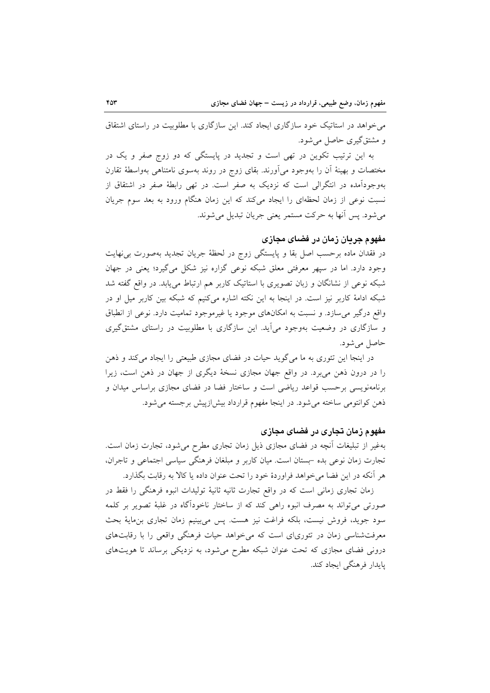می خواهد در استاتیک خود سازگاری ایجاد کند. این سازگاری با مطلوبیت در راستای اشتقاق و مشتق گیری حاصل می شود.

به این ترتیب تکوین در تھی است و تجدید در پایستگی که دو زوج صفر و یک در مختصات و بهینهٔ آن را بهوجود میآورند. بقای زوج در روند بهسوی نامتناهی بهواسطهٔ تقارن بهوجودآمده در انتگرالی است که نزدیک به صفر است. در تهی رابطهٔ صفر در اشتقاق از نسبت نوعی از زمان لحظهای را ایجاد میکند که این زمان هنگام ورود به بعد سوم جریان مي شو د. پس آنها به حرکت مستمر يعني جريان تبديل مي شوند.

# مفهوم جريان زمان در فضای مجازی

در فقدان ماده برحسب اصل بقا و پایستگی زوج در لحظهٔ جریان تجدید بهصورت بی&ایت وجود دارد. اما در سپهر معرفتی معلق شبکه نوعی گزاره نیز شکل می گیرد؛ یعنی در جهان شبکه نوعی از نشانگان و زبان تصویری با استاتیک کاربر هم ارتباط می پابد. در واقع گفته شد شبکه ادامهٔ کاربر نیز است. در اینجا به این نکته اشاره میکنیم که شبکه بین کاربر میل او در واقع درگیر می سازد. و نسبت به امکانهای موجود یا غیرموجود تمامیت دارد. نوعی از انطباق و سازگاری در وضعیت بهوجود می آید. این سازگاری با مطلوبیت در راستای مشتق گیری حاصل می شود.

در اینجا این تئوری به ما میگوید حیات در فضای مجازی طبیعتی را ایجاد میکند و ذهن را در درون ذهن میبرد. در واقع جهان مجازی نسخهٔ دیگری از جهان در ذهن است، زیرا برنامهنویسی برحسب قواعد ریاضی است و ساختار فضا در فضای مجازی براساس میدان و ذهن كوانتومي ساخته مي شود. در اينجا مفهوم قرارداد بيش ازييش برجسته مي شود.

#### مفهوم زمان تجاری در فضای مجازی

بهغیر از تبلیغات آنچه در فضای مجازی ذیل زمان تجاری مطرح میشود، تجارت زمان است. تجارت زمان نوعی بده -بستان است. میان کاربر و مبلغان فرهنگی سیاسی اجتماعی و تاجران، هر آنكه در اين فضا مي خواهد فراوردهٔ خود را تحت عنوان داده يا كالا به رقابت بگذارد.

زمان تجاری زمانی است که در واقع تجارت ثانیه ثانیهٔ تولیدات انبوه فرهنگی را فقط در صورتی می تواند به مصرف انبوه راهی کند که از ساختار ناخودآگاه در غلبهٔ تصویر بر کلمه سود جوید، فروش نیست، بلکه فراغت نیز هست. پس میبینیم زمان تجاری بن،ایهٔ بحث معرفتشناسی زمان در تئوریای است که می خواهد حیات فرهنگی واقعی را با رقابتهای درونی فضای مجازی که تحت عنوان شبکه مطرح میشود، به نزدیکی برساند تا هویتهای يايدار فرهنگي ايجاد كند.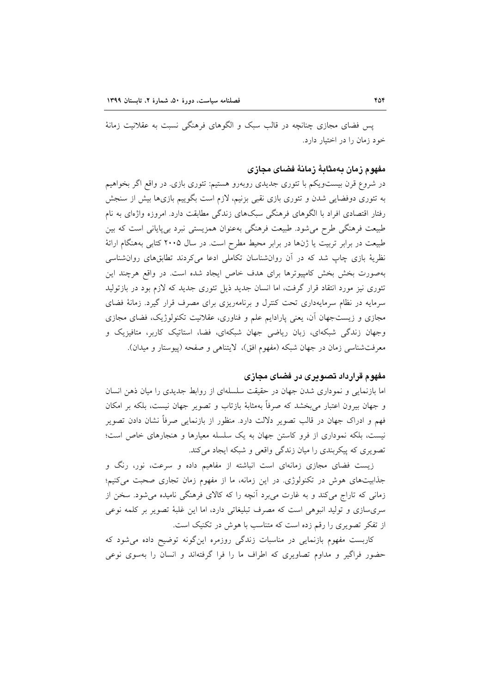یس فضای مجازی چنانچه در قالب سبک و الگوهای فرهنگی نسبت به عقلانیت زمانهٔ خود زمان را در اختیار دارد.

## مفهوم زمان بەمثابهٔ زمانهٔ فضای مجازی

در شروع قرن بیستویکم با تئوری جدیدی روبهرو هستیم: تئوری بازی. در واقع اگر بخواهیم به تئوری دوفضایی شدن و تئوری بازی نقبی بزنیم، لازم است بگوییم بازیها بیش از سنجش رفتار اقتصادی افراد با الگوهای فرهنگی سبکهای زندگی مطابقت دارد. امروزه واژهای به نام طبیعت فرهنگی طرح می شود. طبیعت فرهنگی بهعنوان همزیستی نبرد بیپایانی است که بین طبیعت در برابر تربیت یا ژنها در برابر محیط مطرح است. در سال ۲۰۰۵ کتابی بههنگام ارائهٔ نظریهٔ بازی چاپ شد که در آن روانشناسان تکاملی ادعا میکردند تطابق های روان شناسی بهصورت بخش بخش کامپیوترها برای هدف خاص ایجاد شده است. در واقع هرچند این تئوری نیز مورد انتقاد قرار گرفت، اما انسان جدید ذیل تئوری جدید که لازم بود در بازتولید سرمایه در نظام سرمایهداری تحت کنترل و برنامهریزی برای مصرف قرار گیرد. زمانهٔ فضای مجازی و زیستجهان آن، یعنی پارادایم علم و فناوری، عقلانیت تکنولوژیک، فضای مجازی وجهان زندگی شبکهای، زبان ریاضی جهان شبکهای، فضا، استاتیک کاربر، متافیزیک و معرفتشناسی زمان در جهان شبکه (مفهوم افق)، لایتناهی و صفحه (پیوستار و میدان).

#### مفهوم قرارداد تصويری در فضای مجازی

اما بازنمایی و نموداری شدن جهان در حقیقت سلسلهای از روابط جدیدی را میان ذهن انسان و جهان بیرون اعتبار می بخشد که صرفاً بهمثابهٔ بازتاب و تصویر جهان نیست، بلکه بر امکان فهم و ادراک جهان در قالب تصویر دلالت دارد. منظور از بازنمایی صرفاً نشان دادن تصویر نیست، بلکه نموداری از فرو کاستن جهان به یک سلسله معیارها و هنجارهای خاص است؛ تصویری که پیکربندی را میان زندگی واقعی و شبکه ایجاد میکند.

زیست فضای مجازی زمانهای است انباشته از مفاهیم داده و سرعت، نور، رنگ و جذابیتهای هوش در تکنولوژی در این زمانه، ما از مفهوم زمان تجاری صحبت میکنیم؛ زمانی که تاراج میکند و به غارت میبرد آنچه را که کالای فرهنگی نامیده میشود. سخن از سریسازی و تولید انبوهی است که مصرف تبلیغاتی دارد، اما این غلبهٔ تصویر بر کلمه نوعی از تفکر تصویری را رقم زده است که متناسب با هوش در تکنیک است.

کاربست مفهوم بازنمایی در مناسبات زندگی روزمره اینگونه توضیح داده میشود که حضور فراگیر و مداوم تصاویری که اطراف ما را فرا گرفتهاند و انسان را بهسوی نوعی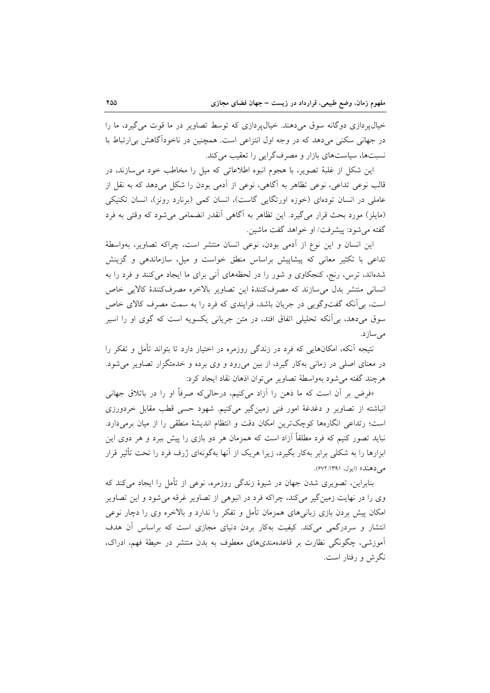خیال پردازی دوگانه سوق میدهند. خیال پردازی که توسط تصاویر در ما قوت می گیرد، ما را در جهانی سکنی می دهد که در وجه اول انتزاعی است. همچنین در ناخودآگاهش بی ارتباط با نسبتها، سیاستهای بازار و مصرف گرایی را تعقیب می کند.

این شکل از غلبهٔ تصویر، با هجوم انبوه اطلاعاتی که میل را مخاطب خود می سازند، در قالب نوعی تداعی، نوعی تظاهر به آگاهی، نوعی از آدمی بودن را شکل میدهد که به نقل از عاملی در انسان تودهای (خوزه اورتگایی گاست)، انسان کمی (برنارد رونز)، انسان تکنیکی (مايلز) مورد بحث قرار مي گيرد. اين تظاهر به آگاهي أنقدر انضمامي مي شود كه وقتي به فرد گفته مي شود: پيشرفت/ او خواهد گفت ماشين.

این انسان و این نوع از آدمی بودن، نوعی انسان منتشر است، چراکه تصاویر، بهواسطهٔ تداعی با تکثیر معانی که پیشاپیش براساس منطق خواست و میل، سازماندهی و گزینش شدهاند، ترس، رنج، کنجکاوی و شور را در لحظههای آنی برای ما ایجاد می کنند و فرد را به انسانی منتشر بدل میسازند که مصرفکنندهٔ این تصاویر بالاخره مصرفکنندهٔ کالایی خاص است، بی آنکه گفتوگویی در جریان باشد، فرایندی که فرد را به سمت مصرف کالای خاص سوق میدهد، بی آنکه تحلیلی اتفاق افتد، در متن جریانی یکسویه است که گوی او را اسیر مى سازد.

نتیجه آنکه، امکانهایی که فرد در زندگی روزمره در اختیار دارد تا بتواند تأمل و تفکر را در معنای اصلی در زمانی بهکار گیرد، از بین میرود و وی برده و خدمتگزار تصاویر میشود. هرچند گفته مي شود بهواسطهٔ تصاوير مي توان اذهان نقاد ايجاد كرد:

«فرض بر آن است که ما ذهن را آزاد میکنیم، درحالی که صرفاً او را در باتلاق جهانی انباشته از تصاویر و دغدغهٔ امور فنی زمینگیر میکنیم. شهود حسی قطب مقابل خردورزی است؛ رتداعی انگارهها کوچکترین امکان دقت و انتظام اندیشهٔ منطقی را از میان برمیدارد. نباید تصور کنیم که فرد مطلقاً آزاد است که همزمان هر دو بازی را پیش ببرد و هر دوی این ابزارها را به شکلی برابر بهکار بگیرد، زیرا هریک از آنها بهگونهای ژرف فرد را تحت تأثیر قرار مي دهند» (ايول، ١٣٩١: ۶۷۲).

بنابراین، تصویری شدن جهان در شیوهٔ زندگی روزمره، نوعی از تأمل را ایجاد می کند که وی را در نهایت زمینگیر میکند، چراکه فرد در انبوهی از تصاویر غرقه میشود و این تصاویر امکان پیش بردن بازی زبانی های همزمان تأمل و تفکر را ندارد و بالاخره وی را دچار نوعی انتشار و سردرگمی میکند. کیفیت بهکار بردن دنیای مجازی است که براساس آن هدف آموزشی، چگونگی نظارت بر قاعدهمندیهای معطوف به بدن منتشر در حیطهٔ فهم، ادراک، نگرش و رفتار است.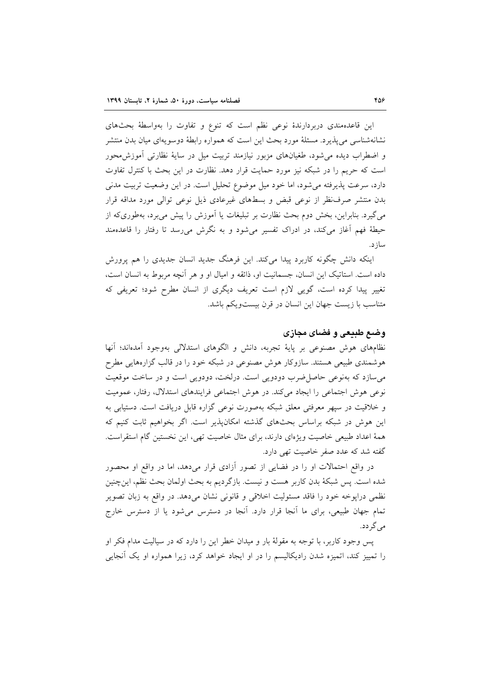این قاعدهمندی دربردارندهٔ نوعی نظم است که تنوع و تفاوت را بهواسطهٔ بحثهای نشانهشناسی می پذیر د. مسئلهٔ مورد بحث این است که همواره رابطهٔ دوسو پهای میان بدن منتشر و اضطراب دیده می شود، طغیانهای مزبور نیازمند تربیت میل در سایهٔ نظارتی آموزش،حور است که حریم را در شبکه نیز مورد حمایت قرار دهد. نظارت در این بحث با کنترل تفاوت دارد، سرعت پذیرفته می شود، اما خود میل موضوع تحلیل است. در این وضعیت تربیت مدنی بدن منتشر صرف نظر از نوعی قبض و بسطهای غیرعادی ذیل نوعی توالی مورد مداقه قرار می گیرد. بنابراین، بخش دوم بحث نظارت بر تبلیغات یا آموزش را پیش میبرد، بهطوریکه از حیطهٔ فهم آغاز میکند، در ادراک تفسیر می شود و به نگرش می رسد تا رفتار را قاعدهمند ساز د.

اینکه دانش چگونه کاربرد پیدا میکند. این فرهنگ جدید انسان جدیدی را هم پرورش داده است. استاتیک این انسان، جسمانیت او، ذائقه و امیال او و هر آنچه مربوط به انسان است، تغییر پیدا کرده است، گویی لازم است تعریف دیگری از انسان مطرح شود؛ تعریفی که متناسب با زیست جهان این انسان در قرن بیستویکم باشد.

# وضع طبیعی و فضای مجازی

نظامهای هوش مصنوعی بر پایهٔ تجربه، دانش و الگوهای استدلالی بهوجود آمدهاند؛ آنها هوشمندی طبیعی هستند. سازوکار هوش مصنوعی در شبکه خود را در قالب گزارههایی مطرح می سازد که بهنوعی حاصل ضرب دودویی است. درلخت، دودویی است و در ساخت موقعیت نوعی هوش اجتماعی را ایجاد میکند. در هوش اجتماعی فرایندهای استدلال، رفتار، عمومیت و خلاقیت در سپهر معرفتی معلق شبکه بهصورت نوعی گزاره قابل دریافت است. دستیابی به این هوش در شبکه براساس بحثهای گذشته امکان پذیر است. اگر بخواهیم ثابت کنیم که همهٔ اعداد طبیعی خاصیت ویژهای دارند، برای مثال خاصیت تهی، این نخستین گام استقراست. گفته شد که عدد صفر خاصیت تهی دارد.

در واقع احتمالات او را در فضایی از تصور آزادی قرار میدهد، اما در واقع او محصور شده است. پس شبکهٔ بدن کاربر هست و نیست. بازگردیم به بحث اولمان بحث نظم، اینچنین نظمی درایوخه خود را فاقد مسئولیت اخلاقی و قانونی نشان میدهد. در واقع به زبان تصویر تمام جهان طبیعی، برای ما آنجا قرار دارد. آنجا در دسترس می شود یا از دسترس خارج می گر دد.

پس وجود کاربر، با توجه به مقولهٔ بار و میدان خطر این را دارد که در سیالیت مدام فکر او را تمییز کند، اتمیزه شدن رادیکالیسم را در او ایجاد خواهد کرد، زیرا همواره او یک آنجایی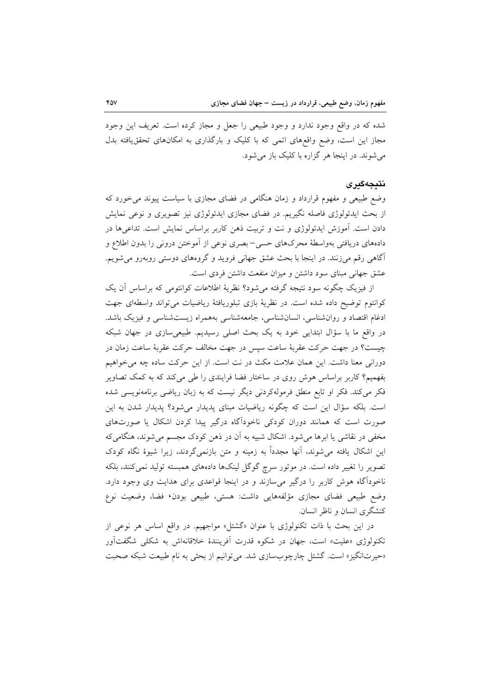شده که در واقع وجود ندارد و وجود طبیعی را جعل و مجاز کرده است. تعریف این وجود مجاز این است، وضع واقعهای اتمی که با کلیک و بارگذاری به امکانهای تحققیافته بدل می شوند. در اینجا هر گزاره با کلیک باز می شود.

### نتىجەگىرى

وضع طبیعی و مفهوم قرارداد و زمان هنگامی در فضای مجازی با سیاست پیوند میخورد که از بحث ایدئولوژی فاصله نگیریم. در فضای مجازی ایدئولوژی نیز تصویری و نوعی نمایش دادن است. آموزش ایدئولوژی و نت و تربیت ذهن کاربر براساس نمایش است. تداعیها در دادههای دریافتی بهواسطهٔ محرکهای حسی–بصری نوعی از آموختن درونی را بدون اطلاع و آگاهی رقم میزنند. در اینجا با بحث عشق جهانی فروید و گروههای دوستی روبهرو میشویم. عشق جهانی مبنای سود داشتن و میزان منفعت داشتن فردی است.

از فیزیک چگونه سود نتیجه گرفته می شود؟ نظریهٔ اطلاعات کوانتومی که براساس آن یک كوانتوم توضيح داده شده است. در نظرية بازى تبلوريافتهٔ رياضيات مى تواند واسطهاى جهت ادغام اقتصاد و روانشناسی، انسانشناسی، جامعهشناسی بههمراه زیستشناسی و فیزیک باشد. در واقع ما با سؤال ابتدایی خود به یک بحث اصلی رسیدیم. طبیعیسازی در جهان شبکه چیست؟ در جهت حرکت عقربهٔ ساعت سیس در جهت مخالف حرکت عقربهٔ ساعت زمان در دورانی معنا داشت. این همان علامت مکث در نت است. از این حرکت ساده چه می خواهیم بفهمیم؟ کاربر براساس هوش روی در ساختار فضا فرایندی را طی میکند که به کمک تصاویر فکر میکند. فکر او تابع منطق فرمولهکردنی دیگر نیست که به زبان ریاضی برنامهنویسی شده است. بلکه سؤال این است که چگونه ریاضیات مبنای پدیدار میشود؟ پدیدار شدن به این صورت است که همانند دوران کودکی ناخودآگاه درگیر پیدا کردن اشکال یا صورتهای مخفی در نقاشی یا ابرها میشود. اشکال شبیه به آن در ذهن کودک مجسم می شوند، هنگامی که این اشکال یافته می شوند، آنها مجدداً به زمینه و متن بازنمیگردند، زیرا شیوهٔ نگاه کودک تصویر را تغییر داده است. در موتور سرچ گوگل لینکها دادههای همبسته تولید نمیکنند، بلکه ناخودآگاه هوش کاربر را درگیر می سازند و در اینجا قواعدی برای هدایت وی وجود دارد. وضع طبیعی فضای مجازی مؤلفههایی داشت: هستی، طبیعی بودن٬ فضا، وضعیت نوع کنشگری انسان و ناظر انسان.

در این بحث با ذات تکنولوژی با عنوان «گشتل» مواجهیم. در واقع اساس هر نوعی از تکنولوژی «علیت» است، جهان در شکوه قدرت آفرینندهٔ خلاقانهاش به شکل<sub>می</sub> شگفتآور «حیرتانگیز» است. گشتل چارچوبسازی شد. می توانیم از بحثی به نام طبیعت شبکه صحبت